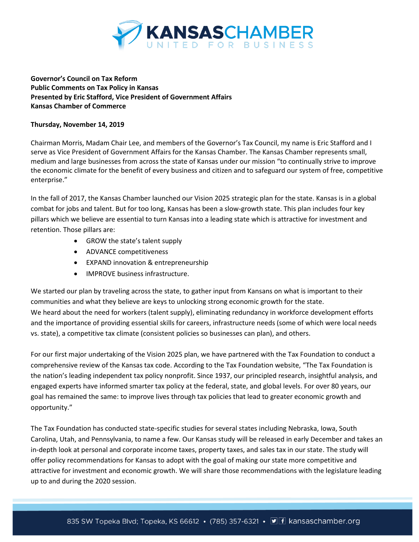

**Governor's Council on Tax Reform Public Comments on Tax Policy in Kansas Presented by Eric Stafford, Vice President of Government Affairs Kansas Chamber of Commerce**

#### **Thursday, November 14, 2019**

Chairman Morris, Madam Chair Lee, and members of the Governor's Tax Council, my name is Eric Stafford and I serve as Vice President of Government Affairs for the Kansas Chamber. The Kansas Chamber represents small, medium and large businesses from across the state of Kansas under our mission "to continually strive to improve the economic climate for the benefit of every business and citizen and to safeguard our system of free, competitive enterprise."

In the fall of 2017, the Kansas Chamber launched our Vision 2025 strategic plan for the state. Kansas is in a global combat for jobs and talent. But for too long, Kansas has been a slow-growth state. This plan includes four key pillars which we believe are essential to turn Kansas into a leading state which is attractive for investment and retention. Those pillars are:

- GROW the state's talent supply
- ADVANCE competitiveness
- EXPAND innovation & entrepreneurship
- IMPROVE business infrastructure.

We started our plan by traveling across the state, to gather input from Kansans on what is important to their communities and what they believe are keys to unlocking strong economic growth for the state. We heard about the need for workers (talent supply), eliminating redundancy in workforce development efforts and the importance of providing essential skills for careers, infrastructure needs (some of which were local needs vs. state), a competitive tax climate (consistent policies so businesses can plan), and others.

For our first major undertaking of the Vision 2025 plan, we have partnered with the Tax Foundation to conduct a comprehensive review of the Kansas tax code. According to the Tax Foundation website, "The Tax Foundation is the nation's leading independent tax policy nonprofit. Since 1937, our principled research, insightful analysis, and engaged experts have informed smarter tax policy at the federal, state, and global levels. For over 80 years, our goal has remained the same: to improve lives through tax policies that lead to greater economic growth and opportunity."

The Tax Foundation has conducted state-specific studies for several states including Nebraska, Iowa, South Carolina, Utah, and Pennsylvania, to name a few. Our Kansas study will be released in early December and takes an in-depth look at personal and corporate income taxes, property taxes, and sales tax in our state. The study will offer policy recommendations for Kansas to adopt with the goal of making our state more competitive and attractive for investment and economic growth. We will share those recommendations with the legislature leading up to and during the 2020 session.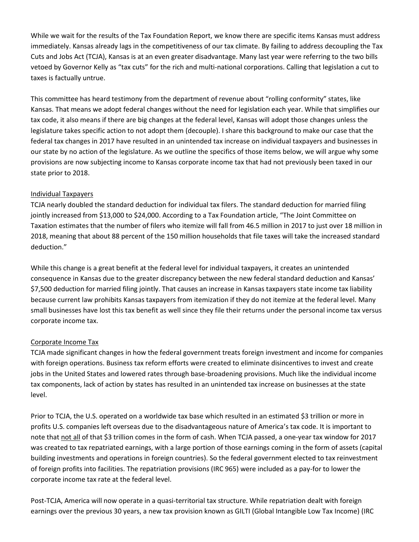While we wait for the results of the Tax Foundation Report, we know there are specific items Kansas must address immediately. Kansas already lags in the competitiveness of our tax climate. By failing to address decoupling the Tax Cuts and Jobs Act (TCJA), Kansas is at an even greater disadvantage. Many last year were referring to the two bills vetoed by Governor Kelly as "tax cuts" for the rich and multi-national corporations. Calling that legislation a cut to taxes is factually untrue.

This committee has heard testimony from the department of revenue about "rolling conformity" states, like Kansas. That means we adopt federal changes without the need for legislation each year. While that simplifies our tax code, it also means if there are big changes at the federal level, Kansas will adopt those changes unless the legislature takes specific action to not adopt them (decouple). I share this background to make our case that the federal tax changes in 2017 have resulted in an unintended tax increase on individual taxpayers and businesses in our state by no action of the legislature. As we outline the specifics of those items below, we will argue why some provisions are now subjecting income to Kansas corporate income tax that had not previously been taxed in our state prior to 2018.

#### Individual Taxpayers

TCJA nearly doubled the standard deduction for individual tax filers. The standard deduction for married filing jointly increased from \$13,000 to \$24,000. According to a Tax Foundation article, "The Joint Committee on Taxation estimates that the number of filers who itemize will fall from 46.5 million in 2017 to just over 18 million in 2018, meaning that about 88 percent of the 150 million households that file taxes will take the increased standard deduction."

While this change is a great benefit at the federal level for individual taxpayers, it creates an unintended consequence in Kansas due to the greater discrepancy between the new federal standard deduction and Kansas' \$7,500 deduction for married filing jointly. That causes an increase in Kansas taxpayers state income tax liability because current law prohibits Kansas taxpayers from itemization if they do not itemize at the federal level. Many small businesses have lost this tax benefit as well since they file their returns under the personal income tax versus corporate income tax.

### Corporate Income Tax

TCJA made significant changes in how the federal government treats foreign investment and income for companies with foreign operations. Business tax reform efforts were created to eliminate disincentives to invest and create jobs in the United States and lowered rates through base-broadening provisions. Much like the individual income tax components, lack of action by states has resulted in an unintended tax increase on businesses at the state level.

Prior to TCJA, the U.S. operated on a worldwide tax base which resulted in an estimated \$3 trillion or more in profits U.S. companies left overseas due to the disadvantageous nature of America's tax code. It is important to note that not all of that \$3 trillion comes in the form of cash. When TCJA passed, a one-year tax window for 2017 was created to tax repatriated earnings, with a large portion of those earnings coming in the form of assets (capital building investments and operations in foreign countries). So the federal government elected to tax reinvestment of foreign profits into facilities. The repatriation provisions (IRC 965) were included as a pay-for to lower the corporate income tax rate at the federal level.

Post-TCJA, America will now operate in a quasi-territorial tax structure. While repatriation dealt with foreign earnings over the previous 30 years, a new tax provision known as GILTI (Global Intangible Low Tax Income) (IRC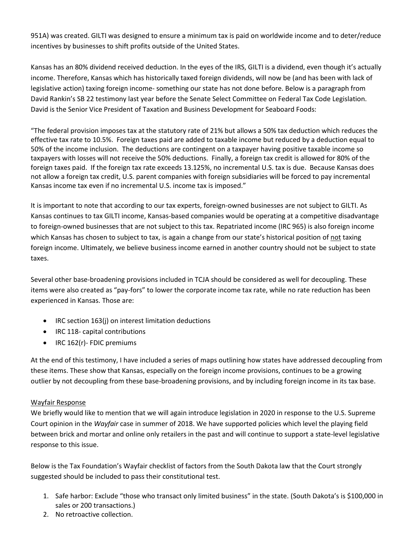951A) was created. GILTI was designed to ensure a minimum tax is paid on worldwide income and to deter/reduce incentives by businesses to shift profits outside of the United States.

Kansas has an 80% dividend received deduction. In the eyes of the IRS, GILTI is a dividend, even though it's actually income. Therefore, Kansas which has historically taxed foreign dividends, will now be (and has been with lack of legislative action) taxing foreign income- something our state has not done before. Below is a paragraph from David Rankin's SB 22 testimony last year before the Senate Select Committee on Federal Tax Code Legislation. David is the Senior Vice President of Taxation and Business Development for Seaboard Foods:

"The federal provision imposes tax at the statutory rate of 21% but allows a 50% tax deduction which reduces the effective tax rate to 10.5%. Foreign taxes paid are added to taxable income but reduced by a deduction equal to 50% of the income inclusion. The deductions are contingent on a taxpayer having positive taxable income so taxpayers with losses will not receive the 50% deductions. Finally, a foreign tax credit is allowed for 80% of the foreign taxes paid. If the foreign tax rate exceeds 13.125%, no incremental U.S. tax is due. Because Kansas does not allow a foreign tax credit, U.S. parent companies with foreign subsidiaries will be forced to pay incremental Kansas income tax even if no incremental U.S. income tax is imposed."

It is important to note that according to our tax experts, foreign-owned businesses are not subject to GILTI. As Kansas continues to tax GILTI income, Kansas-based companies would be operating at a competitive disadvantage to foreign-owned businesses that are not subject to this tax. Repatriated income (IRC 965) is also foreign income which Kansas has chosen to subject to tax, is again a change from our state's historical position of not taxing foreign income. Ultimately, we believe business income earned in another country should not be subject to state taxes.

Several other base-broadening provisions included in TCJA should be considered as well for decoupling. These items were also created as "pay-fors" to lower the corporate income tax rate, while no rate reduction has been experienced in Kansas. Those are:

- IRC section 163(j) on interest limitation deductions
- IRC 118- capital contributions
- IRC 162(r)- FDIC premiums

At the end of this testimony, I have included a series of maps outlining how states have addressed decoupling from these items. These show that Kansas, especially on the foreign income provisions, continues to be a growing outlier by not decoupling from these base-broadening provisions, and by including foreign income in its tax base.

### Wayfair Response

We briefly would like to mention that we will again introduce legislation in 2020 in response to the U.S. Supreme Court opinion in the *Wayfair* case in summer of 2018. We have supported policies which level the playing field between brick and mortar and online only retailers in the past and will continue to support a state-level legislative response to this issue.

Below is the Tax Foundation's Wayfair checklist of factors from the South Dakota law that the Court strongly suggested should be included to pass their constitutional test.

- 1. Safe harbor: Exclude "those who transact only limited business" in the state. (South Dakota's is \$100,000 in sales or 200 transactions.)
- 2. No retroactive collection.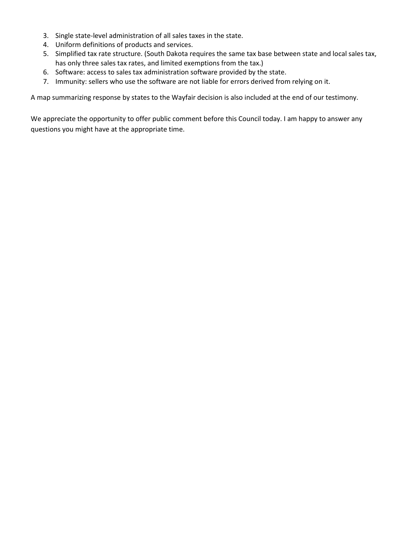- 3. Single state-level administration of all sales taxes in the state.
- 4. Uniform definitions of products and services.
- 5. Simplified tax rate structure. (South Dakota requires the same tax base between state and local sales tax, has only three sales tax rates, and limited exemptions from the tax.)
- 6. Software: access to sales tax administration software provided by the state.
- 7. Immunity: sellers who use the software are not liable for errors derived from relying on it.

A map summarizing response by states to the Wayfair decision is also included at the end of our testimony.

We appreciate the opportunity to offer public comment before this Council today. I am happy to answer any questions you might have at the appropriate time.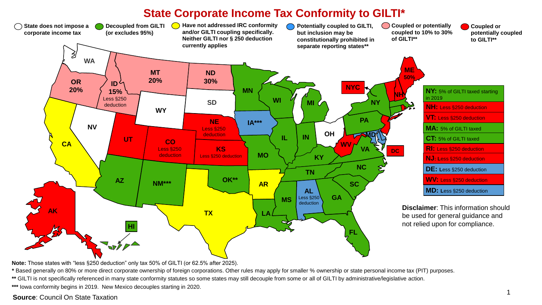## **State Corporate Income Tax Conformity to GILTI\***



**Note:** Those states with "less §250 deduction" only tax 50% of GILTI (or 62.5% after 2025).

**\*** Based generally on 80% or more direct corporate ownership of foreign corporations. Other rules may apply for smaller % ownership or state personal income tax (PIT) purposes.

\*\* GILTI is not specifically referenced in many state conformity statutes so some states may still decouple from some or all of GILTI by administrative/legislative action.

**\*\*\*** Iowa conformity begins in 2019. New Mexico decouples starting in 2020.

### **Source**: Council On State Taxation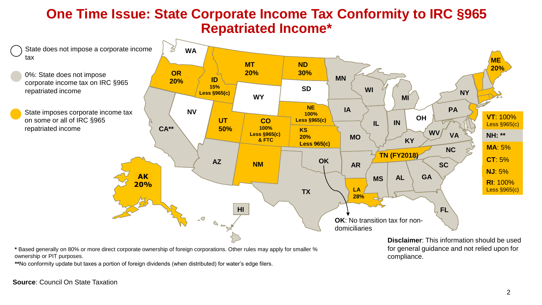## **One Time Issue: State Corporate Income Tax Conformity to IRC §965 Repatriated Income\***



**\*** Based generally on 80% or more direct corporate ownership of foreign corporations. Other rules may apply for smaller % ownership or PIT purposes.

**\*\***No conformity update but taxes a portion of foreign dividends (when distributed) for water's edge filers.

**Disclaimer**: This information should be used for general guidance and not relied upon for compliance.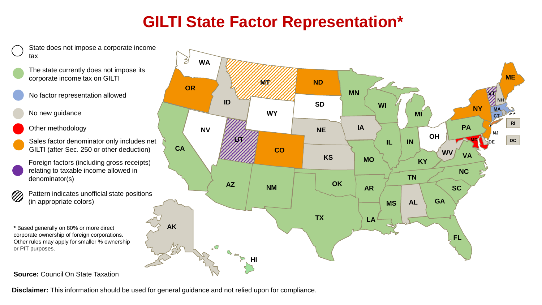## **GILTI State Factor Representation\***



State does not impose a corporate income tax

- The state currently does not impose its corporate income tax on GILTI
- No factor representation allowed
- No new guidance
- Other methodology
- Sales factor denominator only includes net GILTI (after Sec. 250 or other deduction)
- Foreign factors (including gross receipts) relating to taxable income allowed in denominator(s)
- Pattern indicates unofficial state positions  $\oslash$ (in appropriate colors)
- **\*** Based generally on 80% or more direct corporate ownership of foreign corporations. Other rules may apply for smaller % ownership or PIT purposes.
- **Source:** Council On State Taxation



**Disclaimer:** This information should be used for general guidance and not relied upon for compliance.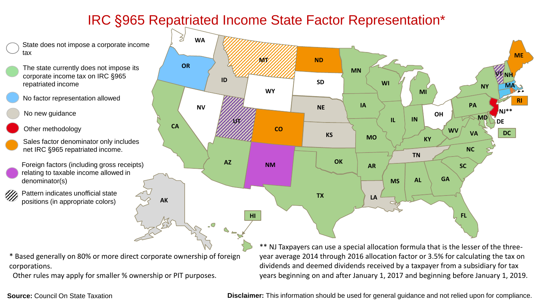## IRC §965 Repatriated Income State Factor Representation\*

State does not impose a corporate income tax

- The state currently does not impose its corporate income tax on IRC §965 repatriated income
- No factor representation allowed

No new guidance

- Other methodology
- Sales factor denominator only includes net IRC §965 repatriated income.
- Foreign factors (including gross receipts) relating to taxable income allowed in denominator(s)
- Pattern indicates unofficial state V) positions (in appropriate colors)

\* Based generally on 80% or more direct corporate ownership of foreign corporations.

Other rules may apply for smaller % ownership or PIT purposes.



\*\* NJ Taxpayers can use a special allocation formula that is the lesser of the threeyear average 2014 through 2016 allocation factor or 3.5% for calculating the tax on dividends and deemed dividends received by a taxpayer from a subsidiary for tax years beginning on and after January 1, 2017 and beginning before January 1, 2019.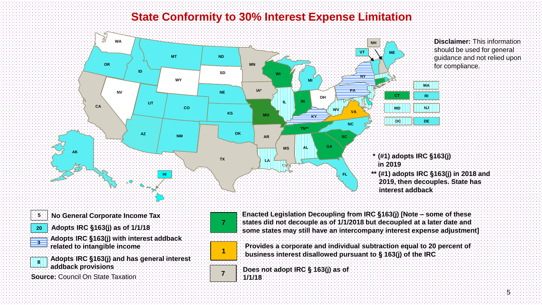## **State Conformity to 30% Interest Expense Limitation**



**20 Adopts IRC §163(j) as of 1/1/18**

**Adopts IRC §163(j) with interest addback related to intangible income <sup>3</sup>**



**Adopts IRC §163(j) and has general interest addback provisions**

**Source:** Council On State Taxation





**Provides a corporate and individual subtraction equal to 20 percent of dum** business interest disallowed pursuant to § 163(j) of the IRC

**Does not adopt IRC § 163(j) as of 1/1/18 <sup>7</sup>**

5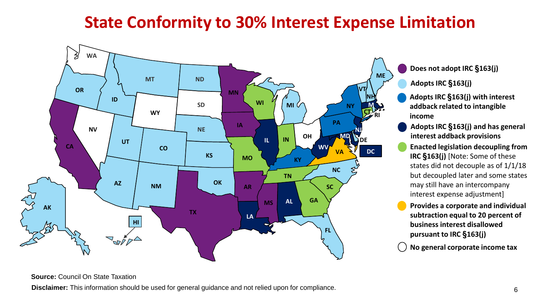## **State Conformity to 30% Interest Expense Limitation**



**Does not adopt IRC §163(j)**

**Adopts IRC §163(j)**

**Adopts IRC §163(j) with interest addback related to intangible income**

- **Adopts IRC §163(j) and has general interest addback provisions**
- **Enacted legislation decoupling from IRC §163(j)** [Note: Some of these states did not decouple as of 1/1/18 but decoupled later and some states may still have an intercompany interest expense adjustment]

**Provides a corporate and individual subtraction equal to 20 percent of business interest disallowed pursuant to IRC §163(j)** 

**No general corporate income tax**

### **Source:** Council On State Taxation

**Disclaimer:** This information should be used for general guidance and not relied upon for compliance.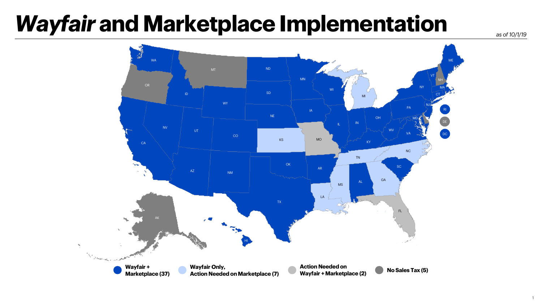# *Wayfair* **and Marketplace Implementation**

*as of 10/1/19*

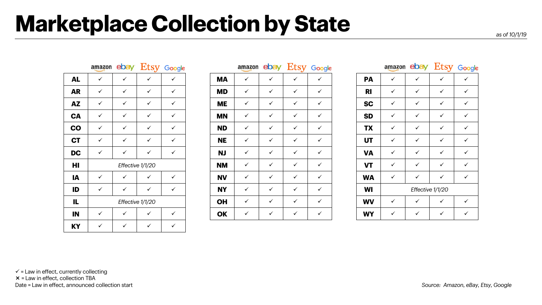## **Marketplace Collection by State**

|           | amazon           |                  | ebay Etsy Google |   |  |  |  |  |  |
|-----------|------------------|------------------|------------------|---|--|--|--|--|--|
| <b>AL</b> | ✓                | ✓                | ✓                | ✓ |  |  |  |  |  |
| <b>AR</b> | ✓                | ✓                | ✓                |   |  |  |  |  |  |
| <b>AZ</b> | ✓                | ✓                | ✓                | ✓ |  |  |  |  |  |
| <b>CA</b> | ✓                | ✓                | ✓                |   |  |  |  |  |  |
| CO        | ✓                | ✓                | ✓                | ✓ |  |  |  |  |  |
| <b>CT</b> | ✓                | ✓                | ✓                |   |  |  |  |  |  |
| DC        | ✓                |                  | ✓                | ✓ |  |  |  |  |  |
| HI        |                  | Effective 1/1/20 |                  |   |  |  |  |  |  |
| IA        | ✓                | ✓                | ✓                | ✓ |  |  |  |  |  |
| ID        | ✓                |                  | ✓                | ✓ |  |  |  |  |  |
| IL        | Effective 1/1/20 |                  |                  |   |  |  |  |  |  |
| IN        | ✓                | ✓                | ✓                | ✓ |  |  |  |  |  |
| KY        |                  |                  |                  |   |  |  |  |  |  |

|           |              |              |                  | amazon ebay Etsy Google |           |              |              |              | amazon ebay Etsy Google |           | amazon ebay  |                  | <b>Etsy</b> God |   |
|-----------|--------------|--------------|------------------|-------------------------|-----------|--------------|--------------|--------------|-------------------------|-----------|--------------|------------------|-----------------|---|
| <b>AL</b> | $\checkmark$ | ✓            | $\checkmark$     | ✓                       | <b>MA</b> | ✓            | $\checkmark$ | ✓            | $\checkmark$            | <b>PA</b> | $\checkmark$ | ✓                | $\checkmark$    | ✓ |
| <b>AR</b> | $\checkmark$ | $\checkmark$ | $\checkmark$     | $\checkmark$            | <b>MD</b> | $\checkmark$ | $\checkmark$ | ✓            | $\checkmark$            | <b>RI</b> | $\checkmark$ | ✓                | ✓               | ✓ |
| <b>AZ</b> | $\checkmark$ | $\checkmark$ | $\checkmark$     | $\checkmark$            | <b>ME</b> | $\checkmark$ | $\checkmark$ | ✓            | $\checkmark$            | <b>SC</b> | $\checkmark$ | ✓                | ✓               | ✓ |
| CA        | $\checkmark$ | $\checkmark$ | $\checkmark$     | $\checkmark$            | <b>MN</b> | $\checkmark$ | $\checkmark$ | ✓            | $\checkmark$            | <b>SD</b> | $\checkmark$ | ✓                | $\checkmark$    | ✓ |
| CO        | $\checkmark$ | $\checkmark$ | $\checkmark$     | $\checkmark$            | <b>ND</b> | $\checkmark$ | $\checkmark$ | $\checkmark$ | $\checkmark$            | <b>TX</b> | $\checkmark$ | ✓                | $\checkmark$    | ✓ |
| <b>CT</b> | $\checkmark$ | $\checkmark$ | $\checkmark$     | $\checkmark$            | <b>NE</b> | $\checkmark$ | $\checkmark$ | ✓            | $\checkmark$            | <b>UT</b> | $\checkmark$ | ✓                | $\checkmark$    | ✓ |
| <b>DC</b> | $\checkmark$ | $\checkmark$ | $\checkmark$     | $\checkmark$            | <b>NJ</b> | $\checkmark$ | $\checkmark$ | $\checkmark$ | $\checkmark$            | <b>VA</b> | $\checkmark$ | ✓                | $\checkmark$    | ✓ |
| HI        |              |              | Effective 1/1/20 |                         | <b>NM</b> | $\checkmark$ | $\checkmark$ | ✓            | $\checkmark$            | <b>VT</b> | $\checkmark$ | ✓                | $\checkmark$    | ✓ |
| IA        | $\checkmark$ | ✓            | $\checkmark$     | $\checkmark$            | <b>NV</b> | $\checkmark$ | $\checkmark$ | $\checkmark$ | $\checkmark$            | <b>WA</b> | $\checkmark$ | ✓                | $\checkmark$    | ✓ |
| ID        | $\checkmark$ | $\checkmark$ | $\checkmark$     | $\checkmark$            | <b>NY</b> | $\checkmark$ | $\checkmark$ | $\checkmark$ | $\checkmark$            | <b>WI</b> |              | Effective 1/1/20 |                 |   |
| IL        |              |              | Effective 1/1/20 |                         | <b>OH</b> | $\checkmark$ | $\checkmark$ | $\checkmark$ | $\checkmark$            | <b>WV</b> | $\checkmark$ | ✓                | $\checkmark$    | ✓ |
| IN        | ✓            |              | $\checkmark$     | ✓                       | <b>OK</b> | ✓            | $\checkmark$ | ✓            | $\checkmark$            | <b>WY</b> | $\checkmark$ | ✓                | $\checkmark$    | ✓ |
|           |              |              |                  |                         |           |              |              |              |                         |           |              |                  |                 |   |

|           |   | amazon ebay Etsy Google |   |   |  |  |  |  |  |
|-----------|---|-------------------------|---|---|--|--|--|--|--|
| PА        |   | ✓                       |   |   |  |  |  |  |  |
| RI        | ✓ | ✓                       | ✓ | ✓ |  |  |  |  |  |
| <b>SC</b> | ✓ | ✓                       | ✓ | ✓ |  |  |  |  |  |
| <b>SD</b> | ✓ | ✓                       | ✓ | ✓ |  |  |  |  |  |
| <b>TX</b> | ✓ | ✓                       | ✓ | ✓ |  |  |  |  |  |
| UT        | ✓ | ✓                       | ✓ | ✓ |  |  |  |  |  |
| <b>VA</b> | ✓ | ✓                       | ✓ | ✓ |  |  |  |  |  |
| VT        | ✓ | ✓                       | ✓ | ✓ |  |  |  |  |  |
| WA        | ✓ | ✓                       | ✓ | ✓ |  |  |  |  |  |
| WI        |   | Effective 1/1/20        |   |   |  |  |  |  |  |
| <b>WV</b> | ✓ | ✓                       | ✓ | ✓ |  |  |  |  |  |
| WY        | ✓ | ✓                       | ✓ | ✓ |  |  |  |  |  |

#### $\checkmark$  = Law in effect, currently collecting  $x =$  Law in effect, collection TBA Date = Law in effect, announced collection start **Source: Amazon, eBay, Etsy, Google** Source: Amazon, eBay, Etsy, Google